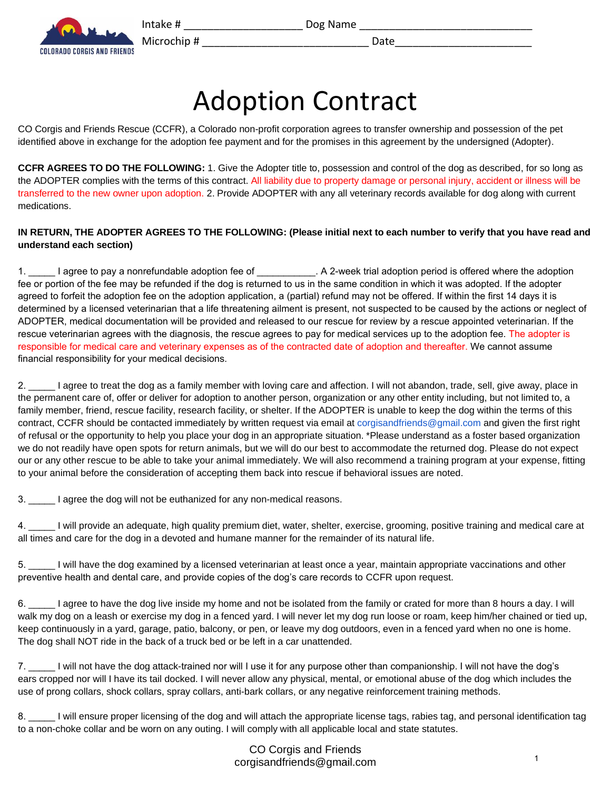

Microchip # \_\_\_\_\_\_\_\_\_\_\_\_\_\_\_\_\_\_\_\_\_\_\_\_\_\_\_\_ Date\_\_\_\_\_\_\_\_\_\_\_\_\_\_\_\_\_\_\_\_\_\_\_



Adoption Contract

CO Corgis and Friends Rescue (CCFR), a Colorado non-profit corporation agrees to transfer ownership and possession of the pet identified above in exchange for the adoption fee payment and for the promises in this agreement by the undersigned (Adopter).

**CCFR AGREES TO DO THE FOLLOWING:** 1. Give the Adopter title to, possession and control of the dog as described, for so long as the ADOPTER complies with the terms of this contract. All liability due to property damage or personal injury, accident or illness will be transferred to the new owner upon adoption. 2. Provide ADOPTER with any all veterinary records available for dog along with current medications.

## **IN RETURN, THE ADOPTER AGREES TO THE FOLLOWING: (Please initial next to each number to verify that you have read and understand each section)**

1. I agree to pay a nonrefundable adoption fee of  $\qquad \qquad$ . A 2-week trial adoption period is offered where the adoption fee or portion of the fee may be refunded if the dog is returned to us in the same condition in which it was adopted. If the adopter agreed to forfeit the adoption fee on the adoption application, a (partial) refund may not be offered. If within the first 14 days it is determined by a licensed veterinarian that a life threatening ailment is present, not suspected to be caused by the actions or neglect of ADOPTER, medical documentation will be provided and released to our rescue for review by a rescue appointed veterinarian. If the rescue veterinarian agrees with the diagnosis, the rescue agrees to pay for medical services up to the adoption fee. The adopter is responsible for medical care and veterinary expenses as of the contracted date of adoption and thereafter. We cannot assume financial responsibility for your medical decisions.

2. \_\_\_\_\_\_ I agree to treat the dog as a family member with loving care and affection. I will not abandon, trade, sell, give away, place in the permanent care of, offer or deliver for adoption to another person, organization or any other entity including, but not limited to, a family member, friend, rescue facility, research facility, or shelter. If the ADOPTER is unable to keep the dog within the terms of this contract, CCFR should be contacted immediately by written request via email at corgisandfriends@gmail.com and given the first right of refusal or the opportunity to help you place your dog in an appropriate situation. \*Please understand as a foster based organization we do not readily have open spots for return animals, but we will do our best to accommodate the returned dog. Please do not expect our or any other rescue to be able to take your animal immediately. We will also recommend a training program at your expense, fitting to your animal before the consideration of accepting them back into rescue if behavioral issues are noted.

3. \_\_\_\_\_ I agree the dog will not be euthanized for any non-medical reasons.

4. \_\_\_\_\_ I will provide an adequate, high quality premium diet, water, shelter, exercise, grooming, positive training and medical care at all times and care for the dog in a devoted and humane manner for the remainder of its natural life.

5. \_\_\_\_\_ I will have the dog examined by a licensed veterinarian at least once a year, maintain appropriate vaccinations and other preventive health and dental care, and provide copies of the dog's care records to CCFR upon request.

6. \_\_\_\_\_ I agree to have the dog live inside my home and not be isolated from the family or crated for more than 8 hours a day. I will walk my dog on a leash or exercise my dog in a fenced yard. I will never let my dog run loose or roam, keep him/her chained or tied up, keep continuously in a yard, garage, patio, balcony, or pen, or leave my dog outdoors, even in a fenced yard when no one is home. The dog shall NOT ride in the back of a truck bed or be left in a car unattended.

7. \_\_\_\_\_ I will not have the dog attack-trained nor will I use it for any purpose other than companionship. I will not have the dog's ears cropped nor will I have its tail docked. I will never allow any physical, mental, or emotional abuse of the dog which includes the use of prong collars, shock collars, spray collars, anti-bark collars, or any negative reinforcement training methods.

8. \_\_\_\_\_ I will ensure proper licensing of the dog and will attach the appropriate license tags, rabies tag, and personal identification tag to a non-choke collar and be worn on any outing. I will comply with all applicable local and state statutes.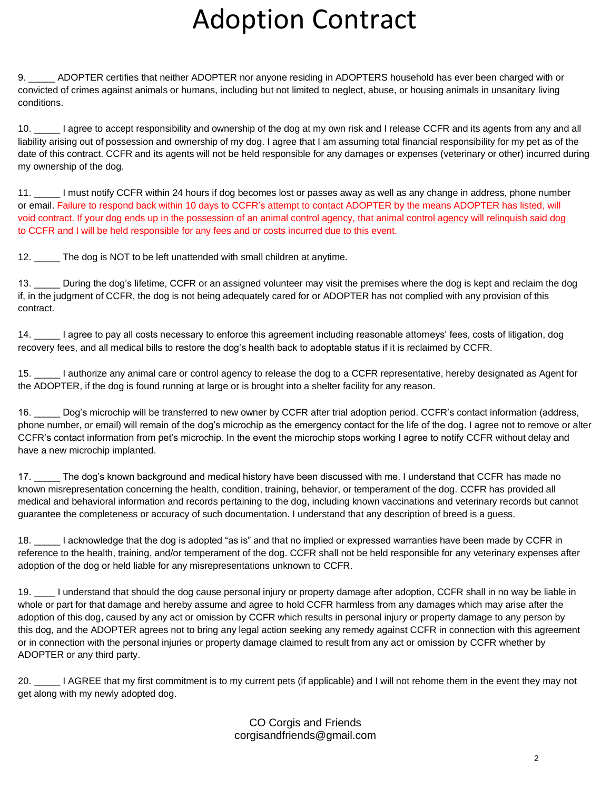## Adoption Contract

9. \_\_\_\_\_ ADOPTER certifies that neither ADOPTER nor anyone residing in ADOPTERS household has ever been charged with or convicted of crimes against animals or humans, including but not limited to neglect, abuse, or housing animals in unsanitary living conditions.

10. \_\_\_\_\_ I agree to accept responsibility and ownership of the dog at my own risk and I release CCFR and its agents from any and all liability arising out of possession and ownership of my dog. I agree that I am assuming total financial responsibility for my pet as of the date of this contract. CCFR and its agents will not be held responsible for any damages or expenses (veterinary or other) incurred during my ownership of the dog.

11. \_\_\_\_\_ I must notify CCFR within 24 hours if dog becomes lost or passes away as well as any change in address, phone number or email. Failure to respond back within 10 days to CCFR's attempt to contact ADOPTER by the means ADOPTER has listed, will void contract. If your dog ends up in the possession of an animal control agency, that animal control agency will relinquish said dog to CCFR and I will be held responsible for any fees and or costs incurred due to this event.

12. \_\_\_\_\_ The dog is NOT to be left unattended with small children at anytime.

13. During the dog's lifetime, CCFR or an assigned volunteer may visit the premises where the dog is kept and reclaim the dog if, in the judgment of CCFR, the dog is not being adequately cared for or ADOPTER has not complied with any provision of this contract.

14. \_\_\_\_\_ I agree to pay all costs necessary to enforce this agreement including reasonable attorneys' fees, costs of litigation, dog recovery fees, and all medical bills to restore the dog's health back to adoptable status if it is reclaimed by CCFR.

15. \_\_\_\_\_ I authorize any animal care or control agency to release the dog to a CCFR representative, hereby designated as Agent for the ADOPTER, if the dog is found running at large or is brought into a shelter facility for any reason.

16. \_\_\_\_\_ Dog's microchip will be transferred to new owner by CCFR after trial adoption period. CCFR's contact information (address, phone number, or email) will remain of the dog's microchip as the emergency contact for the life of the dog. I agree not to remove or alter CCFR's contact information from pet's microchip. In the event the microchip stops working I agree to notify CCFR without delay and have a new microchip implanted.

17. \_\_\_\_\_ The dog's known background and medical history have been discussed with me. I understand that CCFR has made no known misrepresentation concerning the health, condition, training, behavior, or temperament of the dog. CCFR has provided all medical and behavioral information and records pertaining to the dog, including known vaccinations and veterinary records but cannot guarantee the completeness or accuracy of such documentation. I understand that any description of breed is a guess.

18. \_\_\_\_\_ I acknowledge that the dog is adopted "as is" and that no implied or expressed warranties have been made by CCFR in reference to the health, training, and/or temperament of the dog. CCFR shall not be held responsible for any veterinary expenses after adoption of the dog or held liable for any misrepresentations unknown to CCFR.

19. \_\_\_\_ I understand that should the dog cause personal injury or property damage after adoption, CCFR shall in no way be liable in whole or part for that damage and hereby assume and agree to hold CCFR harmless from any damages which may arise after the adoption of this dog, caused by any act or omission by CCFR which results in personal injury or property damage to any person by this dog, and the ADOPTER agrees not to bring any legal action seeking any remedy against CCFR in connection with this agreement or in connection with the personal injuries or property damage claimed to result from any act or omission by CCFR whether by ADOPTER or any third party.

20. \_\_\_\_\_ I AGREE that my first commitment is to my current pets (if applicable) and I will not rehome them in the event they may not get along with my newly adopted dog.

> CO Corgis and Friends corgisandfriends@gmail.com